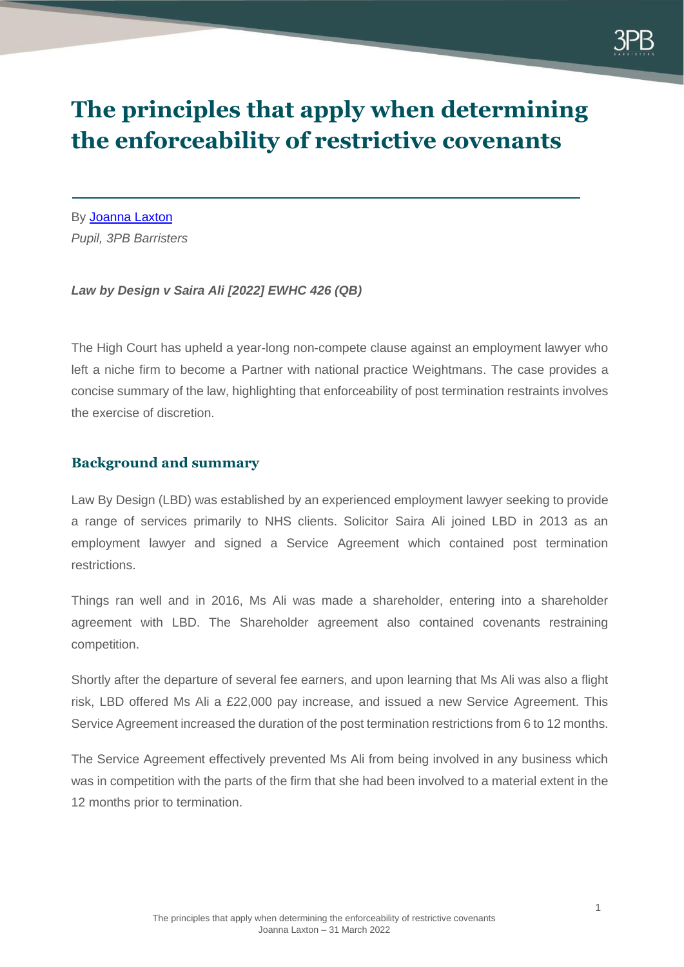

# **The principles that apply when determining the enforceability of restrictive covenants**

By [Joanna Laxton](https://www.3pb.co.uk/barristers/joanna-laxton/) *Pupil, 3PB Barristers*

#### *Law by Design v Saira Ali [2022] EWHC 426 (QB)*

The High Court has upheld a year-long non-compete clause against an employment lawyer who left a niche firm to become a Partner with national practice Weightmans. The case provides a concise summary of the law, highlighting that enforceability of post termination restraints involves the exercise of discretion.

## **Background and summary**

Law By Design (LBD) was established by an experienced employment lawyer seeking to provide a range of services primarily to NHS clients. Solicitor Saira Ali joined LBD in 2013 as an employment lawyer and signed a Service Agreement which contained post termination restrictions.

Things ran well and in 2016, Ms Ali was made a shareholder, entering into a shareholder agreement with LBD. The Shareholder agreement also contained covenants restraining competition.

Shortly after the departure of several fee earners, and upon learning that Ms Ali was also a flight risk, LBD offered Ms Ali a £22,000 pay increase, and issued a new Service Agreement. This Service Agreement increased the duration of the post termination restrictions from 6 to 12 months.

The Service Agreement effectively prevented Ms Ali from being involved in any business which was in competition with the parts of the firm that she had been involved to a material extent in the 12 months prior to termination.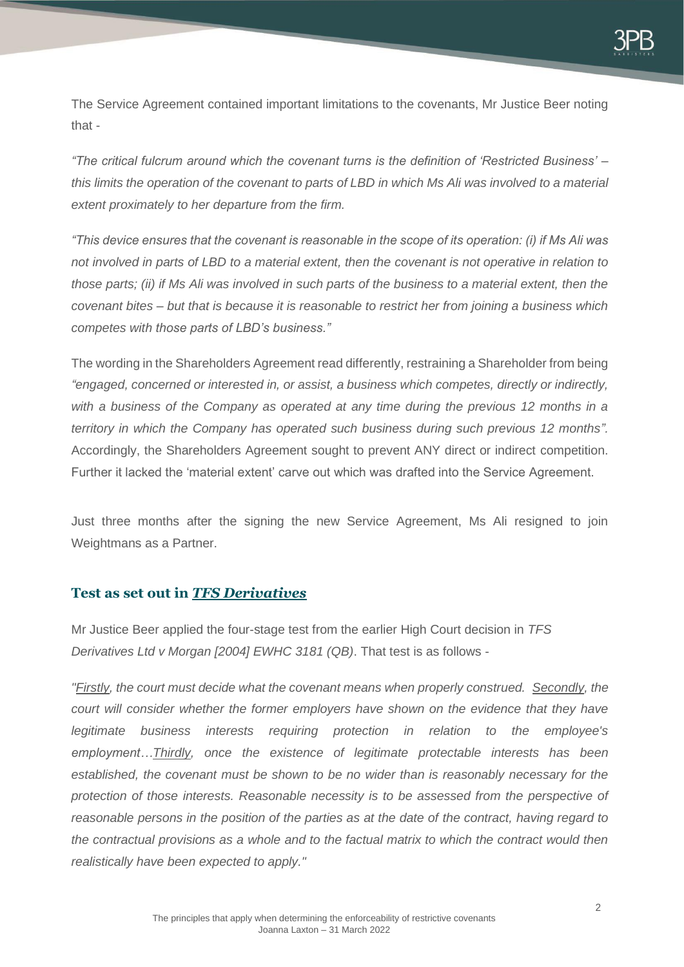The Service Agreement contained important limitations to the covenants, Mr Justice Beer noting that -

*"The critical fulcrum around which the covenant turns is the definition of 'Restricted Business' – this limits the operation of the covenant to parts of LBD in which Ms Ali was involved to a material extent proximately to her departure from the firm.*

*"This device ensures that the covenant is reasonable in the scope of its operation: (i) if Ms Ali was not involved in parts of LBD to a material extent, then the covenant is not operative in relation to those parts; (ii) if Ms Ali was involved in such parts of the business to a material extent, then the covenant bites – but that is because it is reasonable to restrict her from joining a business which competes with those parts of LBD's business."*

The wording in the Shareholders Agreement read differently, restraining a Shareholder from being *"engaged, concerned or interested in, or assist, a business which competes, directly or indirectly, with a business of the Company as operated at any time during the previous 12 months in a territory in which the Company has operated such business during such previous 12 months".*  Accordingly, the Shareholders Agreement sought to prevent ANY direct or indirect competition. Further it lacked the 'material extent' carve out which was drafted into the Service Agreement.

Just three months after the signing the new Service Agreement, Ms Ali resigned to join Weightmans as a Partner.

#### **Test as set out in** *TFS Derivatives*

Mr Justice Beer applied the four-stage test from the earlier High Court decision in *TFS Derivatives Ltd v Morgan [2004] EWHC 3181 (QB)*. That test is as follows -

*"Firstly, the court must decide what the covenant means when properly construed. Secondly, the court will consider whether the former employers have shown on the evidence that they have legitimate business interests requiring protection in relation to the employee's employment…Thirdly, once the existence of legitimate protectable interests has been established, the covenant must be shown to be no wider than is reasonably necessary for the protection of those interests. Reasonable necessity is to be assessed from the perspective of reasonable persons in the position of the parties as at the date of the contract, having regard to the contractual provisions as a whole and to the factual matrix to which the contract would then realistically have been expected to apply."*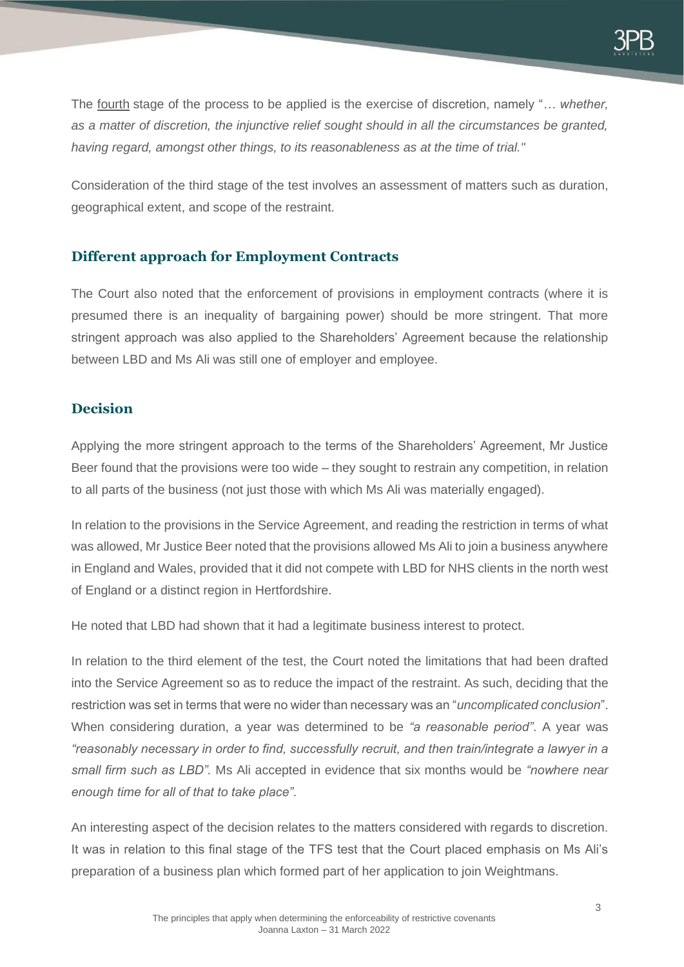The fourth stage of the process to be applied is the exercise of discretion, namely "*… whether, as a matter of discretion, the injunctive relief sought should in all the circumstances be granted, having regard, amongst other things, to its reasonableness as at the time of trial."*

Consideration of the third stage of the test involves an assessment of matters such as duration, geographical extent, and scope of the restraint.

#### **Different approach for Employment Contracts**

The Court also noted that the enforcement of provisions in employment contracts (where it is presumed there is an inequality of bargaining power) should be more stringent. That more stringent approach was also applied to the Shareholders' Agreement because the relationship between LBD and Ms Ali was still one of employer and employee.

## **Decision**

Applying the more stringent approach to the terms of the Shareholders' Agreement, Mr Justice Beer found that the provisions were too wide – they sought to restrain any competition, in relation to all parts of the business (not just those with which Ms Ali was materially engaged).

In relation to the provisions in the Service Agreement, and reading the restriction in terms of what was allowed, Mr Justice Beer noted that the provisions allowed Ms Ali to join a business anywhere in England and Wales, provided that it did not compete with LBD for NHS clients in the north west of England or a distinct region in Hertfordshire.

He noted that LBD had shown that it had a legitimate business interest to protect.

In relation to the third element of the test, the Court noted the limitations that had been drafted into the Service Agreement so as to reduce the impact of the restraint. As such, deciding that the restriction was set in terms that were no wider than necessary was an "*uncomplicated conclusion*". When considering duration, a year was determined to be *"a reasonable period"*. A year was *"reasonably necessary in order to find, successfully recruit, and then train/integrate a lawyer in a small firm such as LBD".* Ms Ali accepted in evidence that six months would be *"nowhere near enough time for all of that to take place"*.

An interesting aspect of the decision relates to the matters considered with regards to discretion. It was in relation to this final stage of the TFS test that the Court placed emphasis on Ms Ali's preparation of a business plan which formed part of her application to join Weightmans.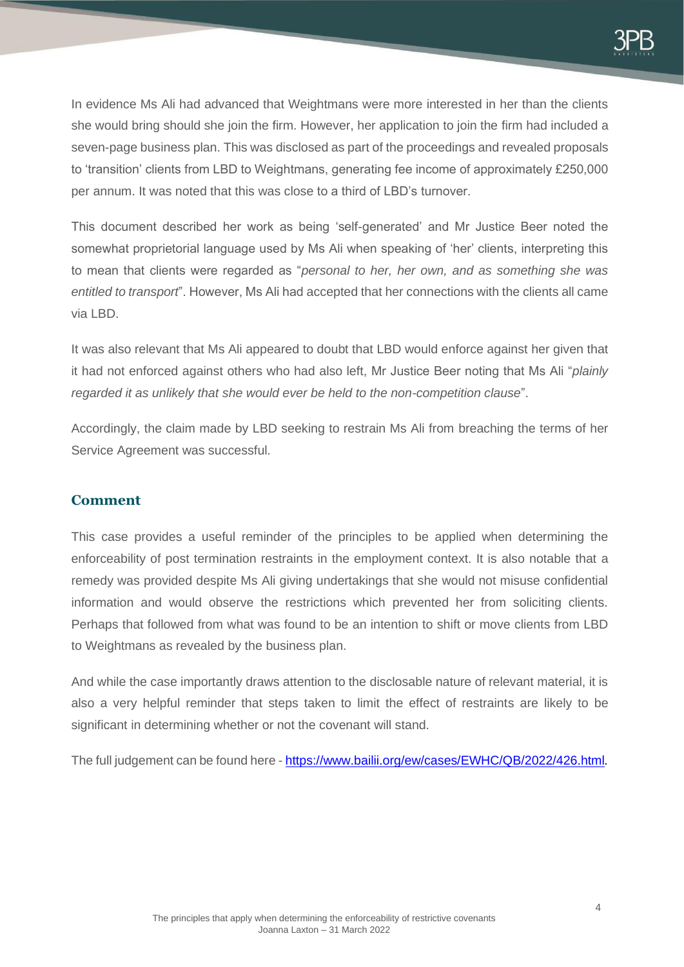In evidence Ms Ali had advanced that Weightmans were more interested in her than the clients she would bring should she join the firm. However, her application to join the firm had included a seven-page business plan. This was disclosed as part of the proceedings and revealed proposals to 'transition' clients from LBD to Weightmans, generating fee income of approximately £250,000 per annum. It was noted that this was close to a third of LBD's turnover.

This document described her work as being 'self-generated' and Mr Justice Beer noted the somewhat proprietorial language used by Ms Ali when speaking of 'her' clients, interpreting this to mean that clients were regarded as "*personal to her, her own, and as something she was entitled to transport*". However, Ms Ali had accepted that her connections with the clients all came via LBD.

It was also relevant that Ms Ali appeared to doubt that LBD would enforce against her given that it had not enforced against others who had also left, Mr Justice Beer noting that Ms Ali "*plainly regarded it as unlikely that she would ever be held to the non-competition clause*".

Accordingly, the claim made by LBD seeking to restrain Ms Ali from breaching the terms of her Service Agreement was successful.

#### **Comment**

This case provides a useful reminder of the principles to be applied when determining the enforceability of post termination restraints in the employment context. It is also notable that a remedy was provided despite Ms Ali giving undertakings that she would not misuse confidential information and would observe the restrictions which prevented her from soliciting clients. Perhaps that followed from what was found to be an intention to shift or move clients from LBD to Weightmans as revealed by the business plan.

And while the case importantly draws attention to the disclosable nature of relevant material, it is also a very helpful reminder that steps taken to limit the effect of restraints are likely to be significant in determining whether or not the covenant will stand.

The full judgement can be found here - <https://www.bailii.org/ew/cases/EWHC/QB/2022/426.html>*.*